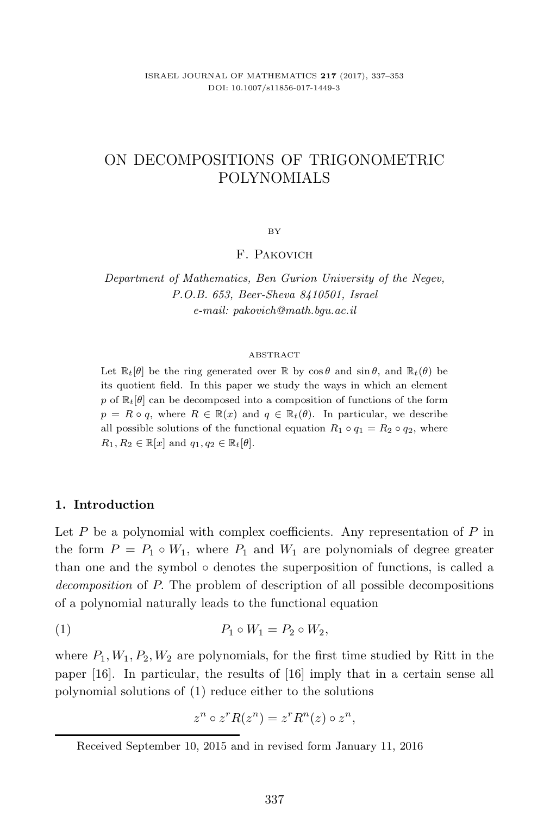# ON DECOMPOSITIONS OF TRIGONOMETRIC POLYNOMIALS

BY

## F. Pakovich

*Department of Mathematics, Ben Gurion University of the Negev,*  $$ *e-mail: pakovich@math.bgu.ac.il*

#### ABSTRACT

Let  $\mathbb{R}_t[\theta]$  be the ring generated over  $\mathbb{R}$  by  $\cos \theta$  and  $\sin \theta$ , and  $\mathbb{R}_t(\theta)$  be its quotient field. In this paper we study the ways in which an element p of  $\mathbb{R}_t[\theta]$  can be decomposed into a composition of functions of the form  $p = R \circ q$ , where  $R \in \mathbb{R}(x)$  and  $q \in \mathbb{R}_t(\theta)$ . In particular, we describe all possible solutions of the functional equation  $R_1 \circ q_1 = R_2 \circ q_2$ , where  $R_1, R_2 \in \mathbb{R}[x]$  and  $q_1, q_2 \in \mathbb{R}_t[\theta]$ .

### **1. Introduction**

Let  $P$  be a polynomial with complex coefficients. Any representation of  $P$  in the form  $P = P_1 \circ W_1$ , where  $P_1$  and  $W_1$  are polynomials of degree greater than one and the symbol  $\circ$  denotes the superposition of functions, is called a *decomposition* of P. The problem of description of all possible decompositions of a polynomial naturally leads to the functional equation

$$
(1) \t\t P_1 \circ W_1 = P_2 \circ W_2,
$$

where  $P_1, W_1, P_2, W_2$  are polynomials, for the first time studied by Ritt in the paper [16]. In particular, the results of [16] imply that in a certain sense all polynomial solutions of (1) reduce either to the solutions

$$
z^n \circ z^r R(z^n) = z^r R^n(z) \circ z^n,
$$

Received September 10, 2015 and in revised form January 11, 2016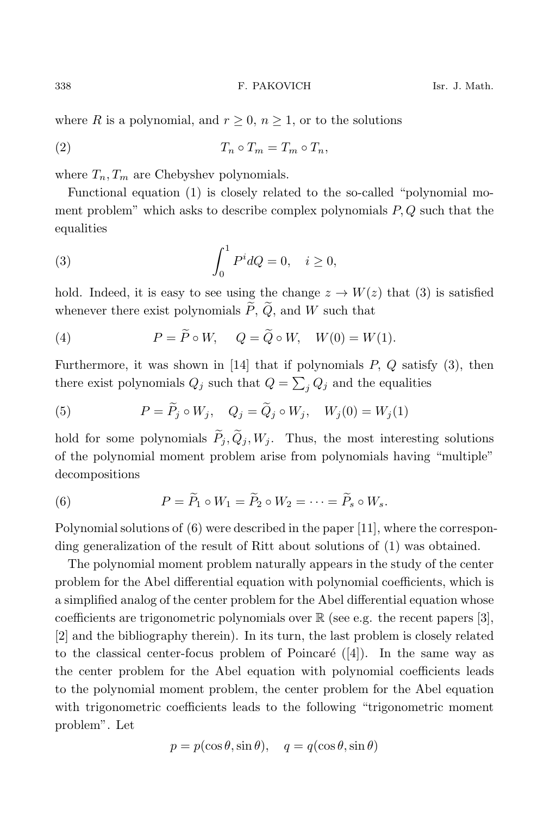where R is a polynomial, and  $r \geq 0$ ,  $n \geq 1$ , or to the solutions

$$
(2) \t\t T_n \circ T_m = T_m \circ T_n,
$$

where  $T_n, T_m$  are Chebyshev polynomials.

Functional equation (1) is closely related to the so-called "polynomial moment problem" which asks to describe complex polynomials  $P, Q$  such that the equalities

(3) 
$$
\int_0^1 P^i dQ = 0, \quad i \ge 0,
$$

hold. Indeed, it is easy to see using the change  $z \to W(z)$  that (3) is satisfied whenever there exist polynomials  $\widetilde{P}$ ,  $\widetilde{Q}$ , and W such that

(4) 
$$
P = \widetilde{P} \circ W, \quad Q = \widetilde{Q} \circ W, \quad W(0) = W(1).
$$

Furthermore, it was shown in [14] that if polynomials  $P$ ,  $Q$  satisfy (3), then there exist polynomials  $Q_j$  such that  $Q = \sum_i Q_j$  and the equalities

(5) 
$$
P = \widetilde{P}_j \circ W_j, \quad Q_j = \widetilde{Q}_j \circ W_j, \quad W_j(0) = W_j(1)
$$

hold for some polynomials  $\tilde{P}_j$ ,  $\tilde{Q}_j$ ,  $W_j$ . Thus, the most interesting solutions of the polynomial moment problem arise from polynomials having "multiple" decompositions

(6) 
$$
P = \widetilde{P}_1 \circ W_1 = \widetilde{P}_2 \circ W_2 = \cdots = \widetilde{P}_s \circ W_s.
$$

Polynomial solutions of (6) were described in the paper [11], where the corresponding generalization of the result of Ritt about solutions of (1) was obtained.

The polynomial moment problem naturally appears in the study of the center problem for the Abel differential equation with polynomial coefficients, which is a simplified analog of the center problem for the Abel differential equation whose coefficients are trigonometric polynomials over  $\mathbb R$  (see e.g. the recent papers [3], [2] and the bibliography therein). In its turn, the last problem is closely related to the classical center-focus problem of Poincaré  $([4])$ . In the same way as the center problem for the Abel equation with polynomial coefficients leads to the polynomial moment problem, the center problem for the Abel equation with trigonometric coefficients leads to the following "trigonometric moment problem". Let

$$
p = p(\cos \theta, \sin \theta), \quad q = q(\cos \theta, \sin \theta)
$$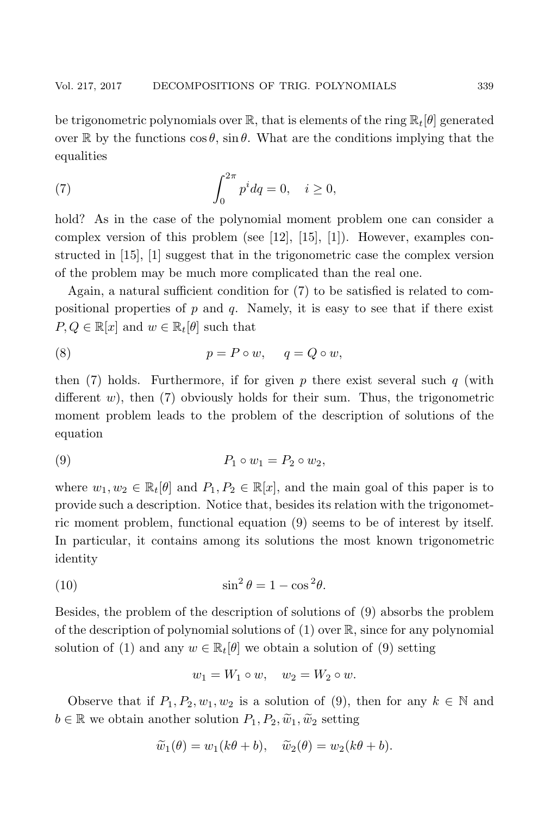be trigonometric polynomials over  $\mathbb{R}$ , that is elements of the ring  $\mathbb{R}_t[\theta]$  generated over R by the functions  $\cos \theta$ ,  $\sin \theta$ . What are the conditions implying that the equalities

(7) 
$$
\int_0^{2\pi} p^i dq = 0, \quad i \ge 0,
$$

hold? As in the case of the polynomial moment problem one can consider a complex version of this problem (see [12], [15], [1]). However, examples constructed in [15], [1] suggest that in the trigonometric case the complex version of the problem may be much more complicated than the real one.

Again, a natural sufficient condition for (7) to be satisfied is related to compositional properties of  $p$  and  $q$ . Namely, it is easy to see that if there exist  $P, Q \in \mathbb{R}[x]$  and  $w \in \mathbb{R}_t[\theta]$  such that

(8) 
$$
p = P \circ w, \quad q = Q \circ w,
$$

then (7) holds. Furthermore, if for given p there exist several such  $q$  (with different w), then  $(7)$  obviously holds for their sum. Thus, the trigonometric moment problem leads to the problem of the description of solutions of the equation

$$
(9) \t\t P_1 \circ w_1 = P_2 \circ w_2,
$$

where  $w_1, w_2 \in \mathbb{R}_t[\theta]$  and  $P_1, P_2 \in \mathbb{R}[x]$ , and the main goal of this paper is to provide such a description. Notice that, besides its relation with the trigonometric moment problem, functional equation (9) seems to be of interest by itself. In particular, it contains among its solutions the most known trigonometric identity

(10) 
$$
\sin^2 \theta = 1 - \cos^2 \theta.
$$

Besides, the problem of the description of solutions of (9) absorbs the problem of the description of polynomial solutions of  $(1)$  over  $\mathbb{R}$ , since for any polynomial solution of (1) and any  $w \in \mathbb{R}_t[\theta]$  we obtain a solution of (9) setting

$$
w_1 = W_1 \circ w, \quad w_2 = W_2 \circ w.
$$

Observe that if  $P_1, P_2, w_1, w_2$  is a solution of (9), then for any  $k \in \mathbb{N}$  and  $b \in \mathbb{R}$  we obtain another solution  $P_1, P_2, \tilde{w}_1, \tilde{w}_2$  setting

$$
\widetilde{w}_1(\theta) = w_1(k\theta + b), \quad \widetilde{w}_2(\theta) = w_2(k\theta + b).
$$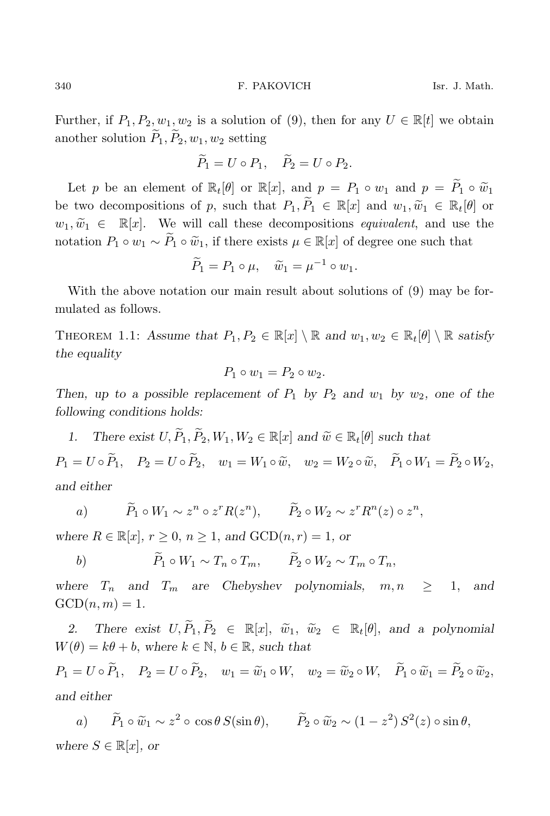Further, if  $P_1, P_2, w_1, w_2$  is a solution of (9), then for any  $U \in \mathbb{R}[t]$  we obtain another solution  $\widetilde{P}_1, \widetilde{P}_2, w_1, w_2$  setting

$$
\widetilde{P}_1 = U \circ P_1, \quad \widetilde{P}_2 = U \circ P_2.
$$

Let p be an element of  $\mathbb{R}_t[\theta]$  or  $\mathbb{R}[x]$ , and  $p = P_1 \circ w_1$  and  $p = \widetilde{P}_1 \circ \widetilde{w}_1$ be two decompositions of p, such that  $P_1, \widetilde{P}_1 \in \mathbb{R}[x]$  and  $w_1, \widetilde{w}_1 \in \mathbb{R}_t[\theta]$  or  $w_1, \widetilde{w}_1 \in \mathbb{R}[x]$ . We will call these decompositions *equivalent*, and use the notation  $P_1 \circ w_1 \sim \tilde{P}_1 \circ \tilde{w}_1$ , if there exists  $\mu \in \mathbb{R}[x]$  of degree one such that

$$
\widetilde{P}_1 = P_1 \circ \mu, \quad \widetilde{w}_1 = \mu^{-1} \circ w_1.
$$

With the above notation our main result about solutions of (9) may be formulated as follows.

THEOREM 1.1: Assume that  $P_1, P_2 \in \mathbb{R}[x] \setminus \mathbb{R}$  and  $w_1, w_2 \in \mathbb{R}_t[\theta] \setminus \mathbb{R}$  satisfy *the equality*

$$
P_1 \circ w_1 = P_2 \circ w_2.
$$

*Then, up to a possible replacement of*  $P_1$  *by*  $P_2$  *and*  $w_1$  *by*  $w_2$ *, one of the following conditions holds:*

*1.* There exist  $U, \widetilde{P}_1, \widetilde{P}_2, W_1, W_2 \in \mathbb{R}[x]$  and  $\widetilde{w} \in \mathbb{R}_t[\theta]$  such that  $P_1 = U \circ \widetilde{P}_1, \quad P_2 = U \circ \widetilde{P}_2, \quad w_1 = W_1 \circ \widetilde{w}, \quad w_2 = W_2 \circ \widetilde{w}, \quad \widetilde{P}_1 \circ W_1 = \widetilde{P}_2 \circ W_2,$ *and either*

a) 
$$
\widetilde{P}_1 \circ W_1 \sim z^n \circ z^r R(z^n), \qquad \widetilde{P}_2 \circ W_2 \sim z^r R^n(z) \circ z^n,
$$

*where*  $R \in \mathbb{R}[x]$ ,  $r \geq 0$ ,  $n \geq 1$ , and  $GCD(n, r) = 1$ , or

b)  $\widetilde{P}_1 \circ W_1 \sim T_n \circ T_m, \qquad \widetilde{P}_2 \circ W_2 \sim T_m \circ T_n,$ 

*where*  $T_n$  and  $T_m$  are Chebyshev polynomials,  $m, n \geq 1$ , and  $GCD(n, m)=1.$ 

2. There exist  $U, \widetilde{P}_1, \widetilde{P}_2 \in \mathbb{R}[x], \widetilde{w}_1, \widetilde{w}_2 \in \mathbb{R}_t[\theta]$ , and a polynomial  $W(\theta) = k\theta + b$ , where  $k \in \mathbb{N}$ ,  $b \in \mathbb{R}$ , such that

 $P_1 = U \circ \widetilde{P}_1, \quad P_2 = U \circ \widetilde{P}_2, \quad w_1 = \widetilde{w}_1 \circ W, \quad w_2 = \widetilde{w}_2 \circ W, \quad \widetilde{P}_1 \circ \widetilde{w}_1 = \widetilde{P}_2 \circ \widetilde{w}_2,$ *and either*

a)  $\tilde{P}_1 \circ \tilde{w}_1 \sim z^2 \circ \cos \theta S(\sin \theta), \qquad \tilde{P}_2 \circ \tilde{w}_2 \sim (1-z^2) S^2(z) \circ \sin \theta,$ *where*  $S \in \mathbb{R}[x]$ *, or*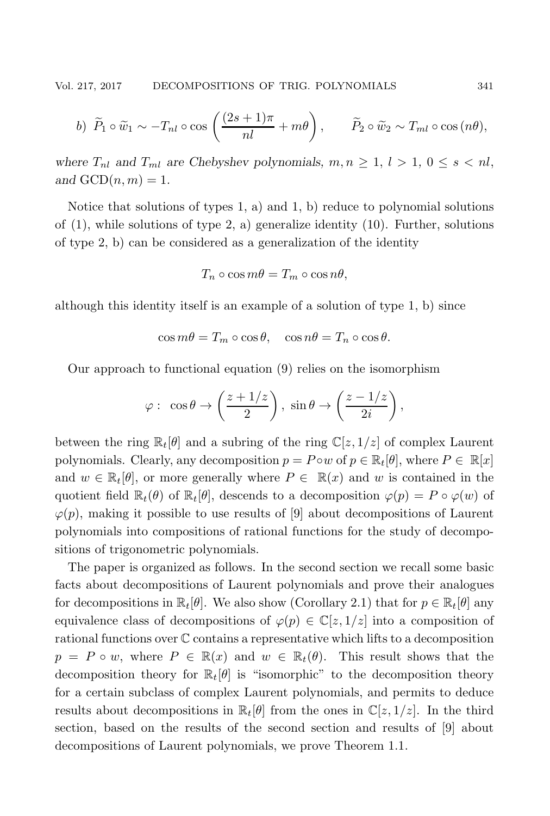b) 
$$
\widetilde{P}_1 \circ \widetilde{w}_1 \sim -T_{nl} \circ \cos\left(\frac{(2s+1)\pi}{nl} + m\theta\right), \qquad \widetilde{P}_2 \circ \widetilde{w}_2 \sim T_{ml} \circ \cos\left(n\theta\right),
$$

*where*  $T_{nl}$  *and*  $T_{ml}$  *are Chebyshev polynomials,*  $m, n \geq 1, l > 1, 0 \leq s < nl$ , and  $GCD(n, m) = 1$ .

Notice that solutions of types 1, a) and 1, b) reduce to polynomial solutions of  $(1)$ , while solutions of type 2, a) generalize identity  $(10)$ . Further, solutions of type 2, b) can be considered as a generalization of the identity

$$
T_n \circ \cos m\theta = T_m \circ \cos n\theta,
$$

although this identity itself is an example of a solution of type 1, b) since

$$
\cos m\theta = T_m \circ \cos \theta, \quad \cos n\theta = T_n \circ \cos \theta.
$$

Our approach to functional equation (9) relies on the isomorphism

$$
\varphi: \ \cos \theta \to \left(\frac{z+1/z}{2}\right), \ \sin \theta \to \left(\frac{z-1/z}{2i}\right),\
$$

between the ring  $\mathbb{R}_t[\theta]$  and a subring of the ring  $\mathbb{C}[z,1/z]$  of complex Laurent polynomials. Clearly, any decomposition  $p = P \circ w$  of  $p \in \mathbb{R}_t[\theta]$ , where  $P \in \mathbb{R}[x]$ and  $w \in \mathbb{R}_t[\theta]$ , or more generally where  $P \in \mathbb{R}(x)$  and w is contained in the quotient field  $\mathbb{R}_t(\theta)$  of  $\mathbb{R}_t[\theta]$ , descends to a decomposition  $\varphi(p) = P \circ \varphi(w)$  of  $\varphi(p)$ , making it possible to use results of [9] about decompositions of Laurent polynomials into compositions of rational functions for the study of decompositions of trigonometric polynomials.

The paper is organized as follows. In the second section we recall some basic facts about decompositions of Laurent polynomials and prove their analogues for decompositions in  $\mathbb{R}_t[\theta]$ . We also show (Corollary 2.1) that for  $p \in \mathbb{R}_t[\theta]$  any equivalence class of decompositions of  $\varphi(p) \in \mathbb{C}[z,1/z]$  into a composition of rational functions over C contains a representative which lifts to a decomposition  $p = P \circ w$ , where  $P \in \mathbb{R}(x)$  and  $w \in \mathbb{R}_t(\theta)$ . This result shows that the decomposition theory for  $\mathbb{R}_t[\theta]$  is "isomorphic" to the decomposition theory for a certain subclass of complex Laurent polynomials, and permits to deduce results about decompositions in  $\mathbb{R}_t[\theta]$  from the ones in  $\mathbb{C}[z,1/z]$ . In the third section, based on the results of the second section and results of [9] about decompositions of Laurent polynomials, we prove Theorem 1.1.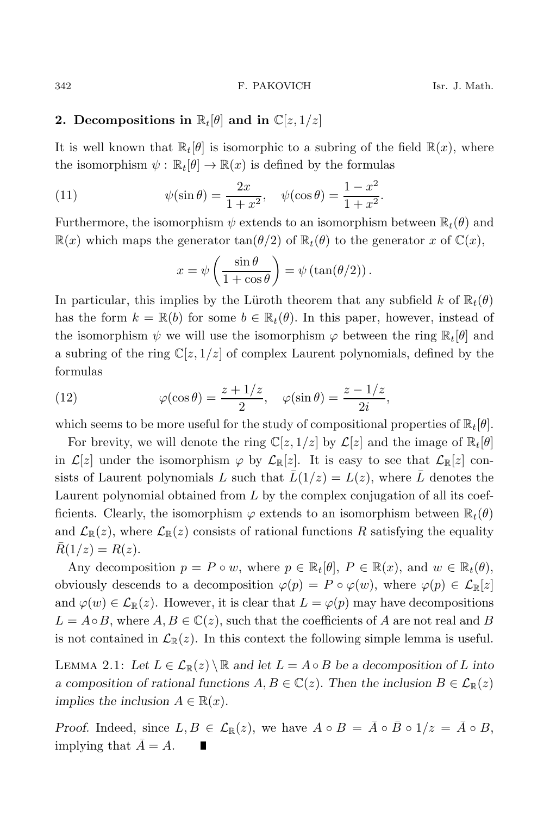### **2.** Decompositions in  $\mathbb{R}_t[\theta]$  and in  $\mathbb{C}[z,1/z]$

It is well known that  $\mathbb{R}_t[\theta]$  is isomorphic to a subring of the field  $\mathbb{R}(x)$ , where the isomorphism  $\psi : \mathbb{R}_t[\theta] \to \mathbb{R}(x)$  is defined by the formulas

(11) 
$$
\psi(\sin \theta) = \frac{2x}{1+x^2}, \quad \psi(\cos \theta) = \frac{1-x^2}{1+x^2}.
$$

Furthermore, the isomorphism  $\psi$  extends to an isomorphism between  $\mathbb{R}_t(\theta)$  and  $\mathbb{R}(x)$  which maps the generator  $\tan(\theta/2)$  of  $\mathbb{R}_t(\theta)$  to the generator x of  $\mathbb{C}(x)$ ,

$$
x = \psi \left( \frac{\sin \theta}{1 + \cos \theta} \right) = \psi \left( \tan(\theta/2) \right).
$$

In particular, this implies by the Lüroth theorem that any subfield k of  $\mathbb{R}_t(\theta)$ has the form  $k = \mathbb{R}(b)$  for some  $b \in \mathbb{R}_t(\theta)$ . In this paper, however, instead of the isomorphism  $\psi$  we will use the isomorphism  $\varphi$  between the ring  $\mathbb{R}_t[\theta]$  and a subring of the ring  $\mathbb{C}[z, 1/z]$  of complex Laurent polynomials, defined by the formulas

(12) 
$$
\varphi(\cos \theta) = \frac{z + 1/z}{2}, \quad \varphi(\sin \theta) = \frac{z - 1/z}{2i},
$$

which seems to be more useful for the study of compositional properties of  $\mathbb{R}_t[\theta]$ .

For brevity, we will denote the ring  $\mathbb{C}[z, 1/z]$  by  $\mathcal{L}[z]$  and the image of  $\mathbb{R}_t[\theta]$ in  $\mathcal{L}[z]$  under the isomorphism  $\varphi$  by  $\mathcal{L}_{\mathbb{R}}[z]$ . It is easy to see that  $\mathcal{L}_{\mathbb{R}}[z]$  consists of Laurent polynomials L such that  $\bar{L}(1/z) = L(z)$ , where  $\bar{L}$  denotes the Laurent polynomial obtained from  $L$  by the complex conjugation of all its coefficients. Clearly, the isomorphism  $\varphi$  extends to an isomorphism between  $\mathbb{R}_t(\theta)$ and  $\mathcal{L}_{\mathbb{R}}(z)$ , where  $\mathcal{L}_{\mathbb{R}}(z)$  consists of rational functions R satisfying the equality  $R(1/z) = R(z)$ .

Any decomposition  $p = P \circ w$ , where  $p \in \mathbb{R}_t[\theta]$ ,  $P \in \mathbb{R}(x)$ , and  $w \in \mathbb{R}_t(\theta)$ , obviously descends to a decomposition  $\varphi(p) = P \circ \varphi(w)$ , where  $\varphi(p) \in \mathcal{L}_{\mathbb{R}}[z]$ and  $\varphi(w) \in \mathcal{L}_{\mathbb{R}}(z)$ . However, it is clear that  $L = \varphi(p)$  may have decompositions  $L = A \circ B$ , where  $A, B \in \mathbb{C}(z)$ , such that the coefficients of A are not real and B is not contained in  $\mathcal{L}_{\mathbb{R}}(z)$ . In this context the following simple lemma is useful.

LEMMA 2.1: Let  $L \in \mathcal{L}_{\mathbb{R}}(z) \setminus \mathbb{R}$  and let  $L = A \circ B$  be a decomposition of L into *a composition of rational functions*  $A, B \in \mathbb{C}(z)$ . Then the inclusion  $B \in \mathcal{L}_{\mathbb{R}}(z)$ *implies the inclusion*  $A \in \mathbb{R}(x)$ *.* 

*Proof.* Indeed, since  $L, B \in \mathcal{L}_{\mathbb{R}}(z)$ , we have  $A \circ B = \overline{A} \circ \overline{B} \circ 1/z = \overline{A} \circ B$ , implying that  $A = A$ .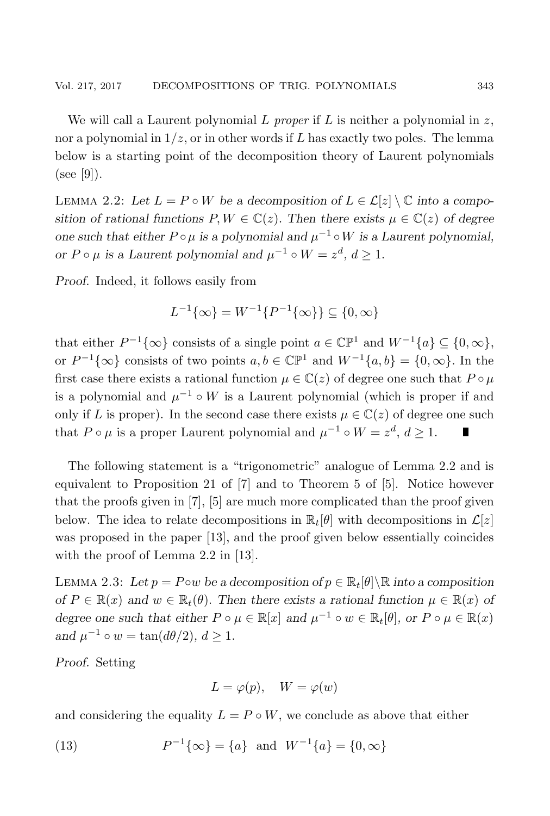We will call a Laurent polynomial L *proper* if L is neither a polynomial in z, nor a polynomial in  $1/z$ , or in other words if L has exactly two poles. The lemma below is a starting point of the decomposition theory of Laurent polynomials (see [9]).

LEMMA 2.2: Let  $L = P \circ W$  be a decomposition of  $L \in \mathcal{L}[z] \setminus \mathbb{C}$  into a compo*sition of rational functions*  $P, W \in \mathbb{C}(z)$ . Then there exists  $\mu \in \mathbb{C}(z)$  of degree *one such that either*  $P \circ \mu$  *is a polynomial and*  $\mu^{-1} \circ W$  *is a Laurent polynomial, or*  $P \circ \mu$  *is a Laurent polynomial and*  $\mu^{-1} \circ W = z^d$ ,  $d \ge 1$ .

*Proof.* Indeed, it follows easily from

$$
L^{-1}\{\infty\} = W^{-1}\{P^{-1}\{\infty\}\} \subseteq \{0, \infty\}
$$

that either  $P^{-1}\{\infty\}$  consists of a single point  $a \in \mathbb{CP}^1$  and  $W^{-1}\{a\} \subseteq \{0, \infty\},$ or  $P^{-1}\{\infty\}$  consists of two points  $a, b \in \mathbb{CP}^1$  and  $W^{-1}\{a, b\} = \{0, \infty\}$ . In the first case there exists a rational function  $\mu \in \mathbb{C}(z)$  of degree one such that  $P \circ \mu$ is a polynomial and  $\mu^{-1} \circ W$  is a Laurent polynomial (which is proper if and only if L is proper). In the second case there exists  $\mu \in \mathbb{C}(z)$  of degree one such that  $P \circ \mu$  is a proper Laurent polynomial and  $\mu^{-1} \circ W = z^d, d \ge 1$ .

The following statement is a "trigonometric" analogue of Lemma 2.2 and is equivalent to Proposition 21 of [7] and to Theorem 5 of [5]. Notice however that the proofs given in [7], [5] are much more complicated than the proof given below. The idea to relate decompositions in  $\mathbb{R}_t[\theta]$  with decompositions in  $\mathcal{L}[z]$ was proposed in the paper [13], and the proof given below essentially coincides with the proof of Lemma 2.2 in [13].

LEMMA 2.3: Let  $p = P \circ w$  be a decomposition of  $p \in \mathbb{R}_t[\theta] \setminus \mathbb{R}$  into a composition *of*  $P \in \mathbb{R}(x)$  *and*  $w \in \mathbb{R}_t(\theta)$ . Then there exists a rational function  $\mu \in \mathbb{R}(x)$  *of degree one such that either*  $P \circ \mu \in \mathbb{R}[x]$  *and*  $\mu^{-1} \circ w \in \mathbb{R}_t[\theta]$ *, or*  $P \circ \mu \in \mathbb{R}(x)$ *and*  $\mu^{-1} \circ w = \tan(d\theta/2), d \ge 1$ .

*Proof.* Setting

$$
L = \varphi(p), \quad W = \varphi(w)
$$

and considering the equality  $L = P \circ W$ , we conclude as above that either

(13) 
$$
P^{-1}\{\infty\} = \{a\} \text{ and } W^{-1}\{a\} = \{0, \infty\}
$$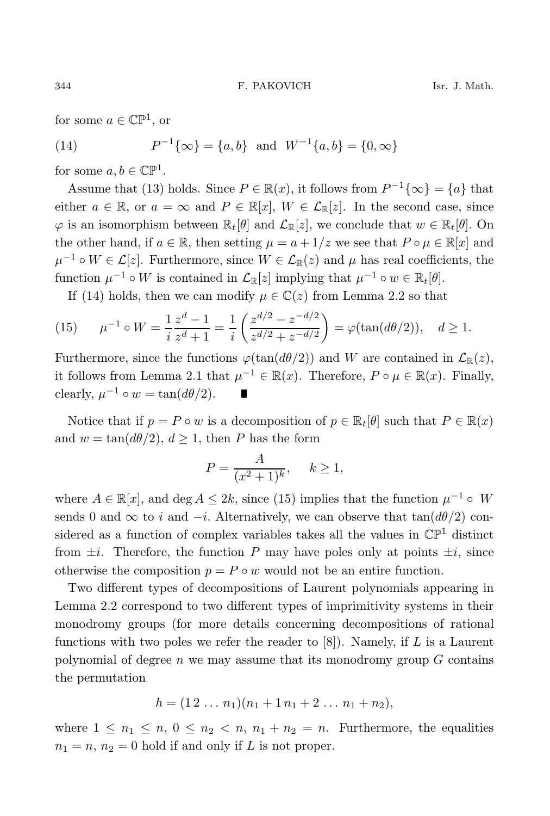for some  $a \in \mathbb{CP}^1$ , or

(14) 
$$
P^{-1}\{\infty\} = \{a, b\} \text{ and } W^{-1}\{a, b\} = \{0, \infty\}
$$

for some  $a, b \in \mathbb{C} \mathbb{P}^1$ .

Assume that (13) holds. Since  $P \in \mathbb{R}(x)$ , it follows from  $P^{-1}\{\infty\} = \{a\}$  that either  $a \in \mathbb{R}$ , or  $a = \infty$  and  $P \in \mathbb{R}[x]$ ,  $W \in \mathcal{L}_{\mathbb{R}}[z]$ . In the second case, since  $\varphi$  is an isomorphism between  $\mathbb{R}_t[\theta]$  and  $\mathcal{L}_{\mathbb{R}}[z]$ , we conclude that  $w \in \mathbb{R}_t[\theta]$ . On the other hand, if  $a \in \mathbb{R}$ , then setting  $\mu = a + 1/z$  we see that  $P \circ \mu \in \mathbb{R}[x]$  and  $\mu^{-1} \circ W \in \mathcal{L}[z]$ . Furthermore, since  $W \in \mathcal{L}_{\mathbb{R}}(z)$  and  $\mu$  has real coefficients, the function  $\mu^{-1} \circ W$  is contained in  $\mathcal{L}_{\mathbb{R}}[z]$  implying that  $\mu^{-1} \circ w \in \mathbb{R}_t[\theta]$ .

If (14) holds, then we can modify  $\mu \in \mathbb{C}(z)$  from Lemma 2.2 so that

(15) 
$$
\mu^{-1} \circ W = \frac{1}{i} \frac{z^d - 1}{z^d + 1} = \frac{1}{i} \left( \frac{z^{d/2} - z^{-d/2}}{z^{d/2} + z^{-d/2}} \right) = \varphi(\tan(d\theta/2)), \quad d \ge 1.
$$

Furthermore, since the functions  $\varphi(\tan(d\theta/2))$  and W are contained in  $\mathcal{L}_{\mathbb{R}}(z)$ , it follows from Lemma 2.1 that  $\mu^{-1} \in \mathbb{R}(x)$ . Therefore,  $P \circ \mu \in \mathbb{R}(x)$ . Finally, clearly,  $\mu^{-1} \circ w = \tan(d\theta/2)$ .

Notice that if  $p = P \circ w$  is a decomposition of  $p \in \mathbb{R}_t[\theta]$  such that  $P \in \mathbb{R}(x)$ and  $w = \tan(d\theta/2), d \ge 1$ , then P has the form

$$
P = \frac{A}{(x^2 + 1)^k}, \quad k \ge 1,
$$

where  $A \in \mathbb{R}[x]$ , and deg  $A \leq 2k$ , since (15) implies that the function  $\mu^{-1} \circ W$ sends 0 and  $\infty$  to i and  $-i$ . Alternatively, we can observe that  $tan(d\theta/2)$  considered as a function of complex variables takes all the values in  $\mathbb{CP}^1$  distinct from  $\pm i$ . Therefore, the function P may have poles only at points  $\pm i$ , since otherwise the composition  $p = P \circ w$  would not be an entire function.

Two different types of decompositions of Laurent polynomials appearing in Lemma 2.2 correspond to two different types of imprimitivity systems in their monodromy groups (for more details concerning decompositions of rational functions with two poles we refer the reader to  $[8]$ ). Namely, if L is a Laurent polynomial of degree  $n$  we may assume that its monodromy group  $G$  contains the permutation

$$
h = (1\,2\,\ldots\,n_1)(n_1+1\,n_1+2\,\ldots\,n_1+n_2),
$$

where  $1 \leq n_1 \leq n$ ,  $0 \leq n_2 < n$ ,  $n_1 + n_2 = n$ . Furthermore, the equalities  $n_1 = n$ ,  $n_2 = 0$  hold if and only if L is not proper.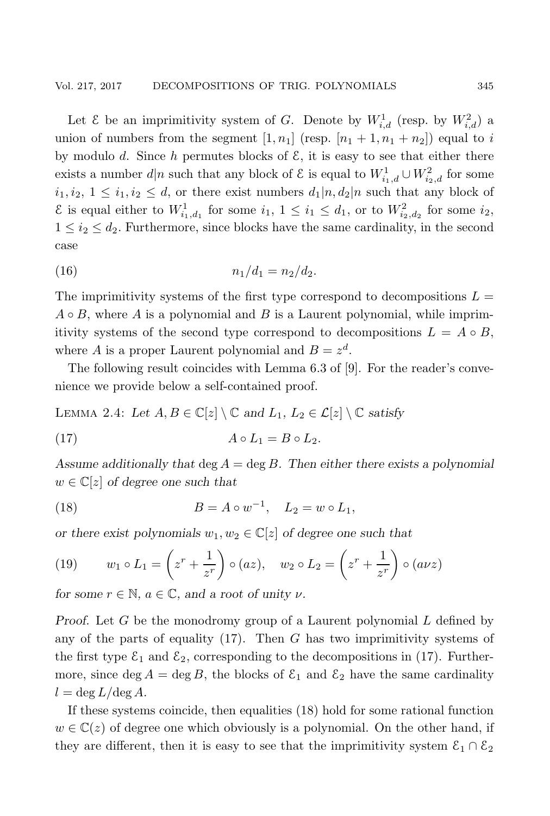Let  $\mathcal E$  be an imprimitivity system of G. Denote by  $W_{i,d}^1$  (resp. by  $W_{i,d}^2$ ) a union of numbers from the segment  $[1, n_1]$  (resp.  $[n_1 + 1, n_1 + n_2]$ ) equal to i by modulo d. Since h permutes blocks of  $\mathcal{E}$ , it is easy to see that either there exists a number  $d|n$  such that any block of  $\mathcal{E}$  is equal to  $W_{i_1,d}^1 \cup W_{i_2,d}^2$  for some  $i_1, i_2, 1 \leq i_1, i_2 \leq d$ , or there exist numbers  $d_1|n, d_2|n$  such that any block of  $\mathcal{E}$  is equal either to  $W_{i_1,d_1}^1$  for some  $i_1, 1 \leq i_1 \leq d_1$ , or to  $W_{i_2,d_2}^2$  for some  $i_2$ ,  $1 \leq i_2 \leq d_2$ . Furthermore, since blocks have the same cardinality, in the second case

(16) 
$$
n_1/d_1 = n_2/d_2.
$$

The imprimitivity systems of the first type correspond to decompositions  $L =$  $A \circ B$ , where A is a polynomial and B is a Laurent polynomial, while imprimitivity systems of the second type correspond to decompositions  $L = A \circ B$ , where A is a proper Laurent polynomial and  $B = z<sup>d</sup>$ .

The following result coincides with Lemma 6.3 of [9]. For the reader's convenience we provide below a self-contained proof.

LEMMA 2.4: Let  $A, B \in \mathbb{C}[z] \setminus \mathbb{C}$  and  $L_1, L_2 \in \mathcal{L}[z] \setminus \mathbb{C}$  satisfy

$$
(17) \t\t A \circ L_1 = B \circ L_2.
$$

*Assume additionally that* deg A = deg B*. Then either there exists a polynomial*  $w \in \mathbb{C}[z]$  of degree one such that

(18) 
$$
B = A \circ w^{-1}, \quad L_2 = w \circ L_1,
$$

*or there exist polynomials*  $w_1, w_2 \in \mathbb{C}[z]$  *of degree one such that* 

(19) 
$$
w_1 \circ L_1 = \left(z^r + \frac{1}{z^r}\right) \circ (az), \quad w_2 \circ L_2 = \left(z^r + \frac{1}{z^r}\right) \circ (a\nu z)
$$

*for some*  $r \in \mathbb{N}$ *,*  $a \in \mathbb{C}$ *, and a root of unity*  $\nu$ *.* 

*Proof.* Let G be the monodromy group of a Laurent polynomial L defined by any of the parts of equality  $(17)$ . Then G has two imprimitivity systems of the first type  $\mathcal{E}_1$  and  $\mathcal{E}_2$ , corresponding to the decompositions in (17). Furthermore, since deg  $A = \deg B$ , the blocks of  $\mathcal{E}_1$  and  $\mathcal{E}_2$  have the same cardinality  $l = \deg L / \deg A$ .

If these systems coincide, then equalities (18) hold for some rational function  $w \in \mathbb{C}(z)$  of degree one which obviously is a polynomial. On the other hand, if they are different, then it is easy to see that the imprimitivity system  $\mathcal{E}_1 \cap \mathcal{E}_2$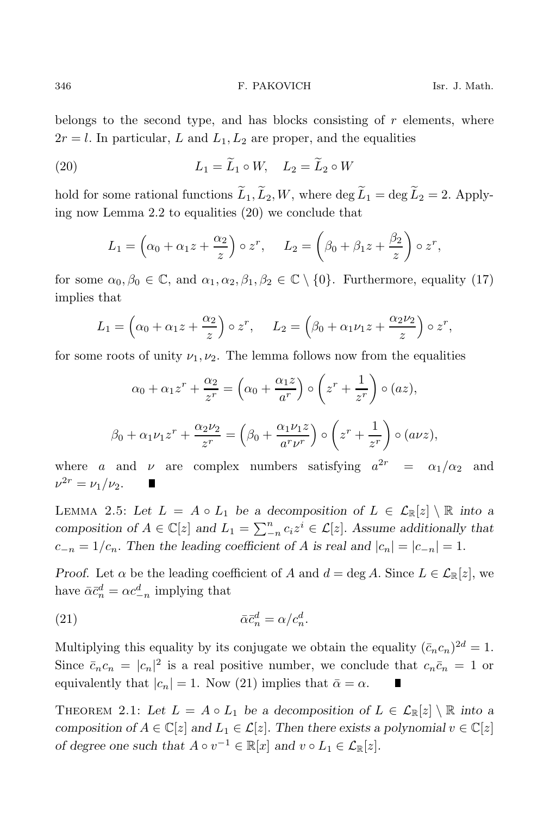belongs to the second type, and has blocks consisting of  $r$  elements, where  $2r = l$ . In particular, L and  $L_1, L_2$  are proper, and the equalities

(20) 
$$
L_1 = \widetilde{L}_1 \circ W, \quad L_2 = \widetilde{L}_2 \circ W
$$

hold for some rational functions  $\widetilde{L}_1, \widetilde{L}_2, W$ , where  $\deg \widetilde{L}_1 = \deg \widetilde{L}_2 = 2$ . Applying now Lemma 2.2 to equalities (20) we conclude that

$$
L_1 = \left(\alpha_0 + \alpha_1 z + \frac{\alpha_2}{z}\right) \circ z^r, \quad L_2 = \left(\beta_0 + \beta_1 z + \frac{\beta_2}{z}\right) \circ z^r,
$$

for some  $\alpha_0, \beta_0 \in \mathbb{C}$ , and  $\alpha_1, \alpha_2, \beta_1, \beta_2 \in \mathbb{C} \setminus \{0\}$ . Furthermore, equality (17) implies that

$$
L_1 = \left(\alpha_0 + \alpha_1 z + \frac{\alpha_2}{z}\right) \circ z^r, \quad L_2 = \left(\beta_0 + \alpha_1 \nu_1 z + \frac{\alpha_2 \nu_2}{z}\right) \circ z^r,
$$

for some roots of unity  $\nu_1, \nu_2$ . The lemma follows now from the equalities

$$
\alpha_0 + \alpha_1 z^r + \frac{\alpha_2}{z^r} = \left(\alpha_0 + \frac{\alpha_1 z}{a^r}\right) \circ \left(z^r + \frac{1}{z^r}\right) \circ (az),
$$
  

$$
\beta_0 + \alpha_1 \nu_1 z^r + \frac{\alpha_2 \nu_2}{z^r} = \left(\beta_0 + \frac{\alpha_1 \nu_1 z}{a^r \nu^r}\right) \circ \left(z^r + \frac{1}{z^r}\right) \circ (a \nu z),
$$

where a and  $\nu$  are complex numbers satisfying  $a^{2r} = \alpha_1/\alpha_2$  and  $\nu^{2r} = \nu_1/\nu_2.$ 

LEMMA 2.5: Let  $L = A \circ L_1$  be a decomposition of  $L \in \mathcal{L}_{\mathbb{R}}[z] \setminus \mathbb{R}$  into a *composition of*  $A \in \mathbb{C}[z]$  *and*  $L_1 = \sum_{n=0}^{n} c_i z^i \in \mathcal{L}[z]$ . *Assume additionally that*  $c_{-n} = 1/c_n$ . Then the leading coefficient of A is real and  $|c_n| = |c_{-n}| = 1$ .

*Proof.* Let  $\alpha$  be the leading coefficient of A and  $d = \deg A$ . Since  $L \in \mathcal{L}_{\mathbb{R}}[z]$ , we have  $\bar{\alpha} \bar{c}_n^d = \alpha c_{-n}^d$  implying that

$$
\bar{\alpha}\bar{c}_n^d = \alpha/c_n^d.
$$

Multiplying this equality by its conjugate we obtain the equality  $(\bar{c}_n c_n)^{2d} = 1$ . Since  $\bar{c}_n c_n = |c_n|^2$  is a real positive number, we conclude that  $c_n \bar{c}_n = 1$  or equivalently that  $|c_n| = 1$ . Now (21) implies that  $\bar{\alpha} = \alpha$ . П

THEOREM 2.1: Let  $L = A \circ L_1$  be a decomposition of  $L \in \mathcal{L}_{\mathbb{R}}[z] \setminus \mathbb{R}$  into a *composition of*  $A \in \mathbb{C}[z]$  *and*  $L_1 \in \mathcal{L}[z]$ . *Then there exists a polynomial*  $v \in \mathbb{C}[z]$ *of degree one such that*  $A \circ v^{-1} \in \mathbb{R}[x]$  *and*  $v \circ L_1 \in \mathcal{L}_{\mathbb{R}}[z]$ *.*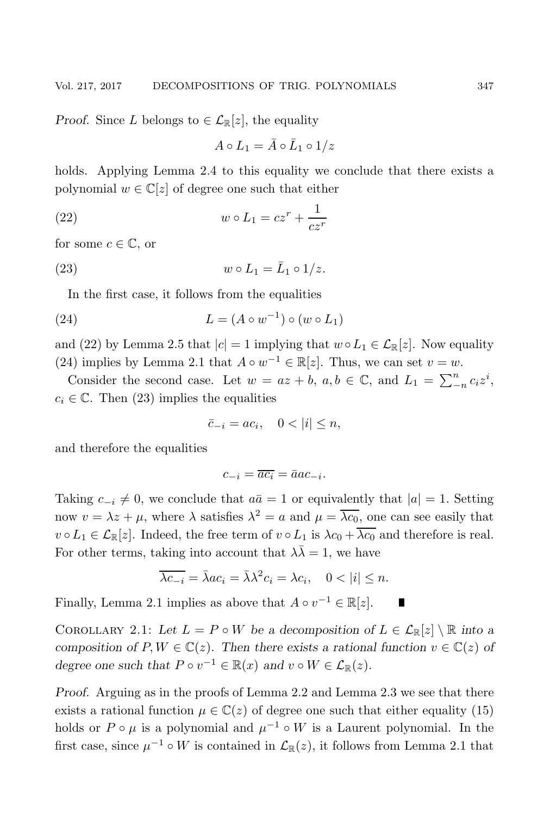*Proof.* Since L belongs to  $\in \mathcal{L}_{\mathbb{R}}[z]$ , the equality

$$
A \circ L_1 = \bar{A} \circ \bar{L}_1 \circ 1/z
$$

holds. Applying Lemma 2.4 to this equality we conclude that there exists a polynomial  $w \in \mathbb{C}[z]$  of degree one such that either

(22) 
$$
w \circ L_1 = cz^r + \frac{1}{cz^r}
$$

for some  $c \in \mathbb{C}$ , or

(23) 
$$
w \circ L_1 = \bar{L}_1 \circ 1/z.
$$

In the first case, it follows from the equalities

(24) 
$$
L = (A \circ w^{-1}) \circ (w \circ L_1)
$$

and (22) by Lemma 2.5 that  $|c| = 1$  implying that  $w \circ L_1 \in \mathcal{L}_{\mathbb{R}}[z]$ . Now equality (24) implies by Lemma 2.1 that  $A \circ w^{-1} \in \mathbb{R}[z]$ . Thus, we can set  $v = w$ .

Consider the second case. Let  $w = az + b$ ,  $a, b \in \mathbb{C}$ , and  $L_1 = \sum_{n=1}^{n} c_i z^i$ ,  $c_i \in \mathbb{C}$ . Then (23) implies the equalities

$$
\bar{c}_{-i} = ac_i, \quad 0 < |i| \le n,
$$

and therefore the equalities

$$
c_{-i} = \overline{ac_i} = \bar{a}ac_{-i}.
$$

Taking  $c_{-i} \neq 0$ , we conclude that  $a\bar{a} = 1$  or equivalently that  $|a| = 1$ . Setting now  $v = \lambda z + \mu$ , where  $\lambda$  satisfies  $\lambda^2 = a$  and  $\mu = \overline{\lambda c_0}$ , one can see easily that  $v \circ L_1 \in \mathcal{L}_{\mathbb{R}}[z]$ . Indeed, the free term of  $v \circ L_1$  is  $\lambda c_0 + \overline{\lambda c_0}$  and therefore is real. For other terms, taking into account that  $\lambda \overline{\lambda} = 1$ , we have

$$
\overline{\lambda c_{-i}} = \overline{\lambda}ac_i = \overline{\lambda}\lambda^2 c_i = \lambda c_i, \quad 0 < |i| \leq n.
$$

Finally, Lemma 2.1 implies as above that  $A \circ v^{-1} \in \mathbb{R}[z]$ .

COROLLARY 2.1: Let  $L = P \circ W$  be a decomposition of  $L \in \mathcal{L}_{\mathbb{R}}[z] \setminus \mathbb{R}$  into a *composition of*  $P, W \in \mathbb{C}(z)$ *. Then there exists a rational function*  $v \in \mathbb{C}(z)$  *of degree one such that*  $P \circ v^{-1} \in \mathbb{R}(x)$  *and*  $v \circ W \in \mathcal{L}_{\mathbb{R}}(z)$ *.* 

*Proof.* Arguing as in the proofs of Lemma 2.2 and Lemma 2.3 we see that there exists a rational function  $\mu \in \mathbb{C}(z)$  of degree one such that either equality (15) holds or  $P \circ \mu$  is a polynomial and  $\mu^{-1} \circ W$  is a Laurent polynomial. In the first case, since  $\mu^{-1} \circ W$  is contained in  $\mathcal{L}_{\mathbb{R}}(z)$ , it follows from Lemma 2.1 that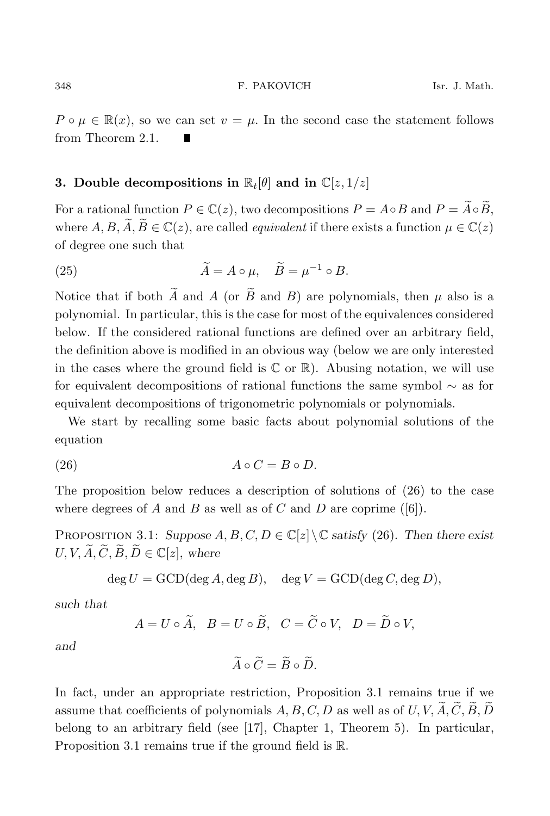$P \circ \mu \in \mathbb{R}(x)$ , so we can set  $v = \mu$ . In the second case the statement follows from Theorem 2.1.

# **3.** Double decompositions in  $\mathbb{R}_t[\theta]$  and in  $\mathbb{C}[z, 1/z]$

For a rational function  $P \in \mathbb{C}(z)$ , two decompositions  $P = A \circ B$  and  $P = \widetilde{A} \circ \widetilde{B}$ , where  $A, B, \widetilde{A}, \widetilde{B} \in \mathbb{C}(z)$ , are called *equivalent* if there exists a function  $\mu \in \mathbb{C}(z)$ of degree one such that

(25) 
$$
\widetilde{A} = A \circ \mu, \quad \widetilde{B} = \mu^{-1} \circ B.
$$

Notice that if both  $\widetilde{A}$  and  $A$  (or  $\widetilde{B}$  and  $B$ ) are polynomials, then  $\mu$  also is a polynomial. In particular, this is the case for most of the equivalences considered below. If the considered rational functions are defined over an arbitrary field, the definition above is modified in an obvious way (below we are only interested in the cases where the ground field is  $\mathbb C$  or  $\mathbb R$ ). Abusing notation, we will use for equivalent decompositions of rational functions the same symbol ∼ as for equivalent decompositions of trigonometric polynomials or polynomials.

We start by recalling some basic facts about polynomial solutions of the equation

$$
(26) \t\t\t A \circ C = B \circ D.
$$

The proposition below reduces a description of solutions of (26) to the case where degrees of A and B as well as of C and D are coprime  $([6])$ .

PROPOSITION 3.1: *Suppose*  $A, B, C, D \in \mathbb{C}[z] \setminus \mathbb{C}$  *satisfy* (26). Then there exist  $U, V, \widetilde{A}, \widetilde{C}, \widetilde{B}, \widetilde{D} \in \mathbb{C}[z],$  where

$$
\deg U = \text{GCD}(\deg A, \deg B), \quad \deg V = \text{GCD}(\deg C, \deg D),
$$

*such that*

$$
A = U \circ \widetilde{A}, \quad B = U \circ \widetilde{B}, \quad C = \widetilde{C} \circ V, \quad D = \widetilde{D} \circ V,
$$

*and*

$$
\widetilde{A}\circ\widetilde{C}=\widetilde{B}\circ\widetilde{D}.
$$

In fact, under an appropriate restriction, Proposition 3.1 remains true if we assume that coefficients of polynomials  $A, B, C, D$  as well as of U, V,  $\widetilde{A}, \widetilde{C}, \widetilde{B}, \widetilde{D}$ belong to an arbitrary field (see [17], Chapter 1, Theorem 5). In particular, Proposition 3.1 remains true if the ground field is R.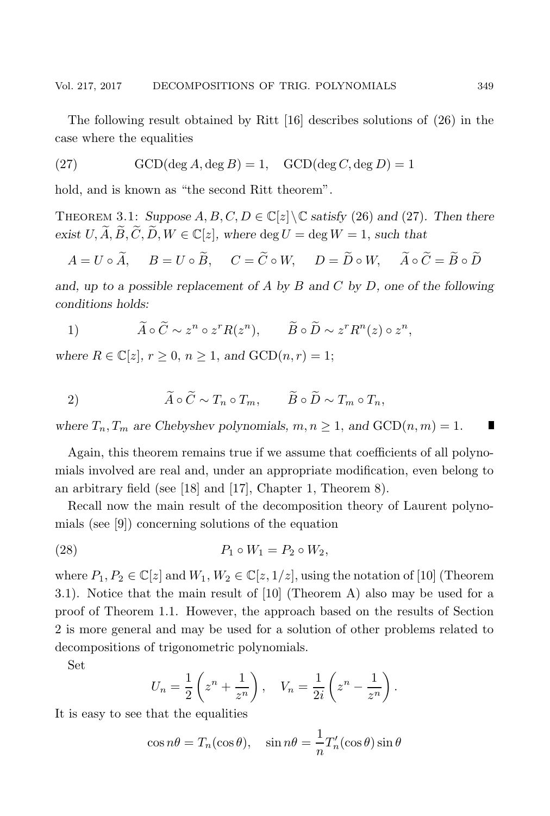The following result obtained by Ritt [16] describes solutions of (26) in the case where the equalities

(27) 
$$
\text{GCD}(\deg A, \deg B) = 1, \quad \text{GCD}(\deg C, \deg D) = 1
$$

hold, and is known as "the second Ritt theorem".

THEOREM 3.1: *Suppose*  $A, B, C, D \in \mathbb{C}[z] \setminus \mathbb{C}$  *satisfy* (26) and (27). Then there *exist*  $U, \widetilde{A}, \widetilde{B}, \widetilde{C}, \widetilde{D}, W \in \mathbb{C}[z]$ , where  $\deg U = \deg W = 1$ , such that

$$
A = U \circ \widetilde{A}, \qquad B = U \circ \widetilde{B}, \qquad C = \widetilde{C} \circ W, \qquad D = \widetilde{D} \circ W, \qquad \widetilde{A} \circ \widetilde{C} = \widetilde{B} \circ \widetilde{D}
$$

*and, up to a possible replacement of* A *by* B *and* C *by* D*, one of the following conditions holds:*

1) 
$$
\widetilde{A} \circ \widetilde{C} \sim z^n \circ z^r R(z^n), \qquad \widetilde{B} \circ \widetilde{D} \sim z^r R^n(z) \circ z^n,
$$

*where*  $R \in \mathbb{C}[z]$ ,  $r \geq 0$ ,  $n \geq 1$ , and  $GCD(n, r) = 1$ ;

$$
\widetilde{A} \circ \widetilde{C} \sim T_n \circ T_m, \qquad \widetilde{B} \circ \widetilde{D} \sim T_m \circ T_n,
$$

*where*  $T_n$ ,  $T_m$  *are Chebyshev polynomials,*  $m, n \geq 1$ , *and*  $GCD(n, m) = 1$ .

Again, this theorem remains true if we assume that coefficients of all polynomials involved are real and, under an appropriate modification, even belong to an arbitrary field (see [18] and [17], Chapter 1, Theorem 8).

Recall now the main result of the decomposition theory of Laurent polynomials (see [9]) concerning solutions of the equation

$$
(28) \t\t P_1 \circ W_1 = P_2 \circ W_2,
$$

where  $P_1, P_2 \in \mathbb{C}[z]$  and  $W_1, W_2 \in \mathbb{C}[z, 1/z]$ , using the notation of [10] (Theorem 3.1). Notice that the main result of [10] (Theorem A) also may be used for a proof of Theorem 1.1. However, the approach based on the results of Section 2 is more general and may be used for a solution of other problems related to decompositions of trigonometric polynomials.

Set

$$
U_n = \frac{1}{2} \left( z^n + \frac{1}{z^n} \right), \quad V_n = \frac{1}{2i} \left( z^n - \frac{1}{z^n} \right).
$$

It is easy to see that the equalities

$$
\cos n\theta = T_n(\cos \theta), \quad \sin n\theta = \frac{1}{n}T'_n(\cos \theta)\sin \theta
$$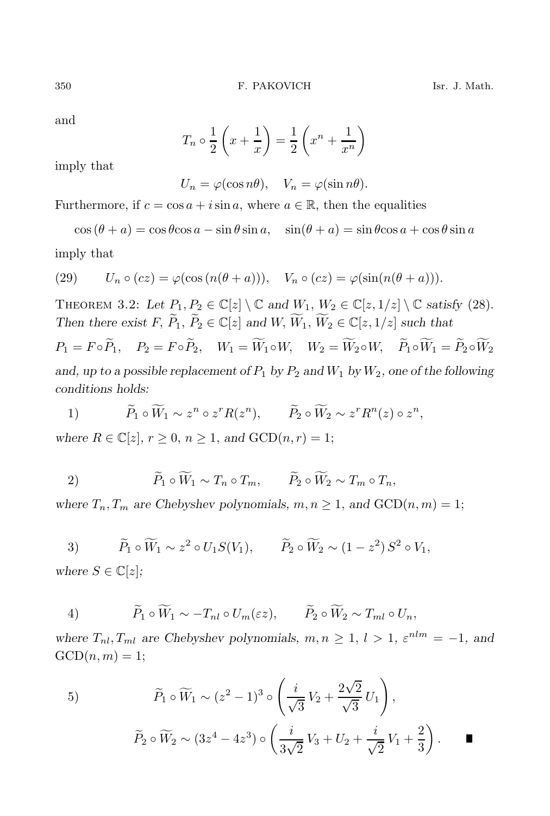and

$$
T_n \circ \frac{1}{2} \left( x + \frac{1}{x} \right) = \frac{1}{2} \left( x^n + \frac{1}{x^n} \right)
$$

imply that

 $U_n = \varphi(\cos n\theta), \quad V_n = \varphi(\sin n\theta).$ 

Furthermore, if  $c = \cos a + i \sin a$ , where  $a \in \mathbb{R}$ , then the equalities

 $\cos (\theta + a) = \cos \theta \cos a - \sin \theta \sin a$ ,  $\sin(\theta + a) = \sin \theta \cos a + \cos \theta \sin a$ 

imply that

(29) 
$$
U_n \circ (cz) = \varphi(\cos(n(\theta + a))), \quad V_n \circ (cz) = \varphi(\sin(n(\theta + a))).
$$

THEOREM 3.2: Let  $P_1, P_2 \in \mathbb{C}[z] \setminus \mathbb{C}$  and  $W_1, W_2 \in \mathbb{C}[z, 1/z] \setminus \mathbb{C}$  satisfy (28). *Then there exist*  $F, \widetilde{P}_1, \widetilde{P}_2 \in \mathbb{C}[z]$  *and*  $W, \widetilde{W}_1, \widetilde{W}_2 \in \mathbb{C}[z, 1/z]$  *such that* 

 $P_1 = F \circ \widetilde{P}_1, \quad P_2 = F \circ \widetilde{P}_2, \quad W_1 = \widetilde{W}_1 \circ W, \quad W_2 = \widetilde{W}_2 \circ W, \quad \widetilde{P}_1 \circ \widetilde{W}_1 = \widetilde{P}_2 \circ \widetilde{W}_2$ and, up to a possible replacement of  $P_1$  by  $P_2$  and  $W_1$  by  $W_2$ , one of the following *conditions holds:*

1)  $\widetilde{P}_1 \circ \widetilde{W}_1 \sim z^n \circ z^r R(z^n), \qquad \widetilde{P}_2 \circ \widetilde{W}_2 \sim z^r R^n(z) \circ z^n,$ 

*where*  $R \in \mathbb{C}[z]$ ,  $r \geq 0$ ,  $n \geq 1$ , and  $GCD(n, r) = 1$ ;

2)  $\widetilde{P}_1 \circ \widetilde{W}_1 \sim T_n \circ T_m, \qquad \widetilde{P}_2 \circ \widetilde{W}_2 \sim T_m \circ T_n,$ 

where  $T_n, T_m$  are Chebyshev polynomials,  $m, n \geq 1$ , and  $GCD(n, m) = 1$ ;

3) 
$$
\widetilde{P}_1 \circ \widetilde{W}_1 \sim z^2 \circ U_1 S(V_1), \qquad \widetilde{P}_2 \circ \widetilde{W}_2 \sim (1-z^2) S^2 \circ V_1,
$$

*where*  $S \in \mathbb{C}[z]$ *;* 

4) 
$$
\widetilde{P}_1 \circ \widetilde{W}_1 \sim -T_{nl} \circ U_m(\varepsilon z), \qquad \widetilde{P}_2 \circ \widetilde{W}_2 \sim T_{ml} \circ U_n,
$$

*where*  $T_{nl}, T_{ml}$  *are Chebyshev polynomials,*  $m, n \geq 1, l > 1, \varepsilon^{nlm} = -1$ *, and*  $GCD(n, m) = 1;$ 

5) 
$$
\widetilde{P}_1 \circ \widetilde{W}_1 \sim (z^2 - 1)^3 \circ \left(\frac{i}{\sqrt{3}}V_2 + \frac{2\sqrt{2}}{\sqrt{3}}U_1\right),
$$

$$
\widetilde{P}_2 \circ \widetilde{W}_2 \sim (3z^4 - 4z^3) \circ \left(\frac{i}{3\sqrt{2}}V_3 + U_2 + \frac{i}{\sqrt{2}}V_1 + \frac{2}{3}\right).
$$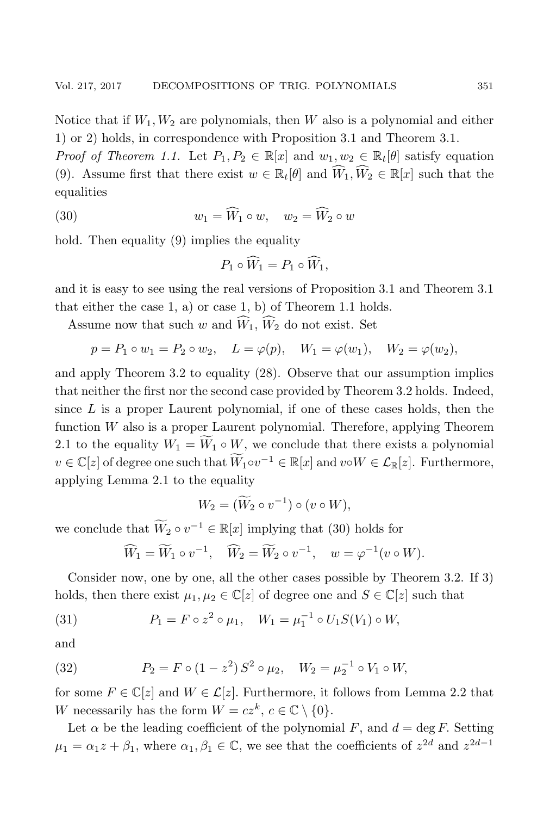Notice that if  $W_1, W_2$  are polynomials, then W also is a polynomial and either 1) or 2) holds, in correspondence with Proposition 3.1 and Theorem 3.1.

*Proof of Theorem 1.1.* Let  $P_1, P_2 \in \mathbb{R}[x]$  and  $w_1, w_2 \in \mathbb{R}_t[\theta]$  satisfy equation (9). Assume first that there exist  $w \in \mathbb{R}_t[\theta]$  and  $\widehat{W}_1, \widehat{W}_2 \in \mathbb{R}[x]$  such that the equalities

(30) 
$$
w_1 = \widehat{W}_1 \circ w, \quad w_2 = \widehat{W}_2 \circ w
$$

hold. Then equality (9) implies the equality

$$
P_1 \circ \widehat{W}_1 = P_1 \circ \widehat{W}_1,
$$

and it is easy to see using the real versions of Proposition 3.1 and Theorem 3.1 that either the case 1, a) or case 1, b) of Theorem 1.1 holds.

Assume now that such w and  $\widehat{W}_1$ ,  $\widehat{W}_2$  do not exist. Set

$$
p = P_1 \circ w_1 = P_2 \circ w_2
$$
,  $L = \varphi(p)$ ,  $W_1 = \varphi(w_1)$ ,  $W_2 = \varphi(w_2)$ ,

and apply Theorem 3.2 to equality (28). Observe that our assumption implies that neither the first nor the second case provided by Theorem 3.2 holds. Indeed, since  $L$  is a proper Laurent polynomial, if one of these cases holds, then the function W also is a proper Laurent polynomial. Therefore, applying Theorem 2.1 to the equality  $W_1 = \widetilde{W}_1 \circ W$ , we conclude that there exists a polynomial  $v \in \mathbb{C}[z]$  of degree one such that  $\widetilde{W}_1 \circ v^{-1} \in \mathbb{R}[x]$  and  $v \circ W \in \mathcal{L}_{\mathbb{R}}[z]$ . Furthermore, applying Lemma 2.1 to the equality

$$
W_2 = (\widetilde{W}_2 \circ v^{-1}) \circ (v \circ W),
$$

we conclude that  $\widetilde{W}_2 \circ v^{-1} \in \mathbb{R}[x]$  implying that (30) holds for

$$
\widehat{W}_1 = \widetilde{W}_1 \circ v^{-1}, \quad \widehat{W}_2 = \widetilde{W}_2 \circ v^{-1}, \quad w = \varphi^{-1}(v \circ W).
$$

Consider now, one by one, all the other cases possible by Theorem 3.2. If 3) holds, then there exist  $\mu_1, \mu_2 \in \mathbb{C}[z]$  of degree one and  $S \in \mathbb{C}[z]$  such that

(31) 
$$
P_1 = F \circ z^2 \circ \mu_1, \quad W_1 = \mu_1^{-1} \circ U_1 S(V_1) \circ W,
$$

and

(32) 
$$
P_2 = F \circ (1 - z^2) S^2 \circ \mu_2, \quad W_2 = \mu_2^{-1} \circ V_1 \circ W,
$$

for some  $F \in \mathbb{C}[z]$  and  $W \in \mathcal{L}[z]$ . Furthermore, it follows from Lemma 2.2 that W necessarily has the form  $W = cz^k, c \in \mathbb{C} \setminus \{0\}.$ 

Let  $\alpha$  be the leading coefficient of the polynomial F, and  $d = \deg F$ . Setting  $\mu_1 = \alpha_1 z + \beta_1$ , where  $\alpha_1, \beta_1 \in \mathbb{C}$ , we see that the coefficients of  $z^{2d}$  and  $z^{2d-1}$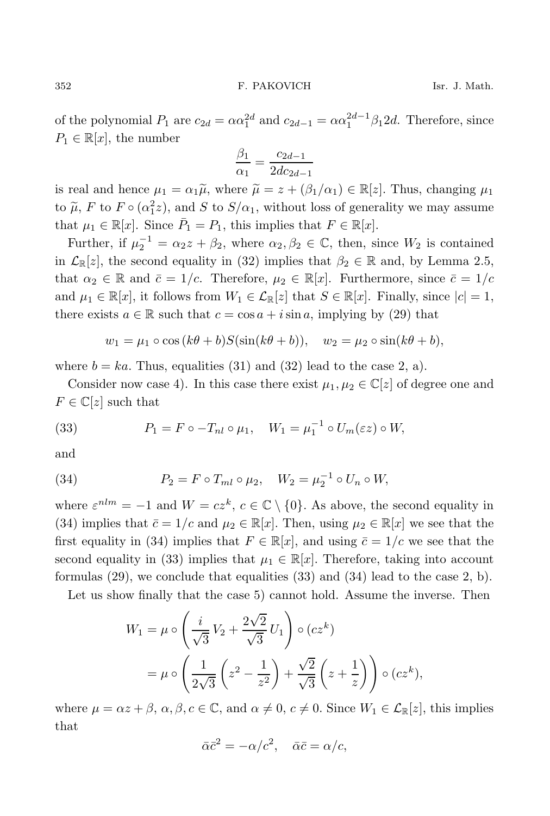of the polynomial  $P_1$  are  $c_{2d} = \alpha \alpha_1^{2d}$  and  $c_{2d-1} = \alpha \alpha_1^{2d-1} \beta_1 2d$ . Therefore, since  $P_1 \in \mathbb{R}[x]$ , the number

$$
\frac{\beta_1}{\alpha_1} = \frac{c_{2d-1}}{2dc_{2d-1}}
$$

is real and hence  $\mu_1 = \alpha_1 \tilde{\mu}$ , where  $\tilde{\mu} = z + (\beta_1/\alpha_1) \in \mathbb{R}[z]$ . Thus, changing  $\mu_1$ to  $\tilde{\mu}$ , F to  $F \circ (\alpha_1^2 z)$ , and S to  $S/\alpha_1$ , without loss of generality we may assume that  $\mu_1 \in \mathbb{R}[x]$ . Since  $\overline{P}_1 = P_1$ , this implies that  $F \in \mathbb{R}[x]$ .

Further, if  $\mu_2^{-1} = \alpha_2 z + \beta_2$ , where  $\alpha_2, \beta_2 \in \mathbb{C}$ , then, since  $W_2$  is contained in  $\mathcal{L}_{\mathbb{R}}[z]$ , the second equality in (32) implies that  $\beta_2 \in \mathbb{R}$  and, by Lemma 2.5, that  $\alpha_2 \in \mathbb{R}$  and  $\bar{c} = 1/c$ . Therefore,  $\mu_2 \in \mathbb{R}[x]$ . Furthermore, since  $\bar{c} = 1/c$ and  $\mu_1 \in \mathbb{R}[x]$ , it follows from  $W_1 \in \mathcal{L}_{\mathbb{R}}[z]$  that  $S \in \mathbb{R}[x]$ . Finally, since  $|c| = 1$ , there exists  $a \in \mathbb{R}$  such that  $c = \cos a + i \sin a$ , implying by (29) that

$$
w_1 = \mu_1 \circ \cos(k\theta + b)S(\sin(k\theta + b)), \quad w_2 = \mu_2 \circ \sin(k\theta + b),
$$

where  $b = ka$ . Thus, equalities (31) and (32) lead to the case 2, a).

Consider now case 4). In this case there exist  $\mu_1, \mu_2 \in \mathbb{C}[z]$  of degree one and  $F \in \mathbb{C}[z]$  such that

(33) 
$$
P_1 = F \circ -T_{nl} \circ \mu_1, \quad W_1 = \mu_1^{-1} \circ U_m(\varepsilon z) \circ W,
$$

and

(34) 
$$
P_2 = F \circ T_{ml} \circ \mu_2, \quad W_2 = \mu_2^{-1} \circ U_n \circ W,
$$

where  $\varepsilon^{nlm} = -1$  and  $W = cz^k$ ,  $c \in \mathbb{C} \setminus \{0\}$ . As above, the second equality in (34) implies that  $\bar{c} = 1/c$  and  $\mu_2 \in \mathbb{R}[x]$ . Then, using  $\mu_2 \in \mathbb{R}[x]$  we see that the first equality in (34) implies that  $F \in \mathbb{R}[x]$ , and using  $\bar{c} = 1/c$  we see that the second equality in (33) implies that  $\mu_1 \in \mathbb{R}[x]$ . Therefore, taking into account formulas (29), we conclude that equalities (33) and (34) lead to the case 2, b).

Let us show finally that the case 5) cannot hold. Assume the inverse. Then

$$
W_1 = \mu \circ \left(\frac{i}{\sqrt{3}}V_2 + \frac{2\sqrt{2}}{\sqrt{3}}U_1\right) \circ (cz^k)
$$
  
= 
$$
\mu \circ \left(\frac{1}{2\sqrt{3}}\left(z^2 - \frac{1}{z^2}\right) + \frac{\sqrt{2}}{\sqrt{3}}\left(z + \frac{1}{z}\right)\right) \circ (cz^k),
$$

where  $\mu = \alpha z + \beta$ ,  $\alpha, \beta, c \in \mathbb{C}$ , and  $\alpha \neq 0$ ,  $c \neq 0$ . Since  $W_1 \in \mathcal{L}_{\mathbb{R}}[z]$ , this implies that

$$
\bar{\alpha}\bar{c}^2 = -\alpha/c^2, \quad \bar{\alpha}\bar{c} = \alpha/c,
$$